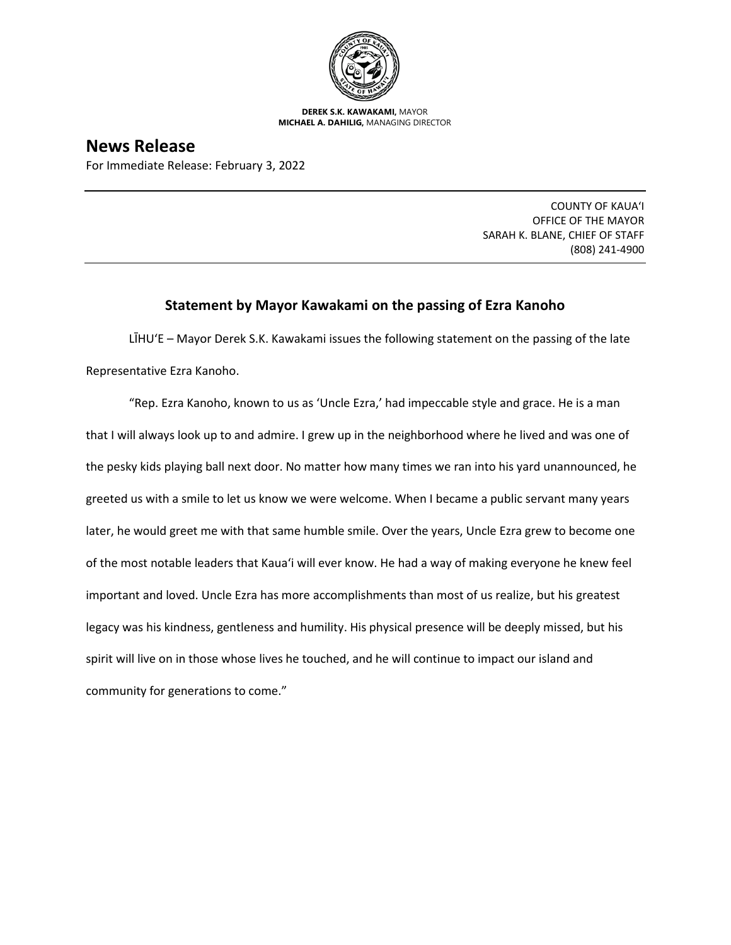

**DEREK S.K. KAWAKAMI,** MAYOR **MICHAEL A. DAHILIG,** MANAGING DIRECTOR

## **News Release**

For Immediate Release: February 3, 2022

COUNTY OF KAUA'I OFFICE OF THE MAYOR SARAH K. BLANE, CHIEF OF STAFF (808) 241-4900

## **Statement by Mayor Kawakami on the passing of Ezra Kanoho**

LĪHU'E – Mayor Derek S.K. Kawakami issues the following statement on the passing of the late Representative Ezra Kanoho.

"Rep. Ezra Kanoho, known to us as 'Uncle Ezra,' had impeccable style and grace. He is a man that I will always look up to and admire. I grew up in the neighborhood where he lived and was one of the pesky kids playing ball next door. No matter how many times we ran into his yard unannounced, he greeted us with a smile to let us know we were welcome. When I became a public servant many years later, he would greet me with that same humble smile. Over the years, Uncle Ezra grew to become one of the most notable leaders that Kaua'i will ever know. He had a way of making everyone he knew feel important and loved. Uncle Ezra has more accomplishments than most of us realize, but his greatest legacy was his kindness, gentleness and humility. His physical presence will be deeply missed, but his spirit will live on in those whose lives he touched, and he will continue to impact our island and community for generations to come."